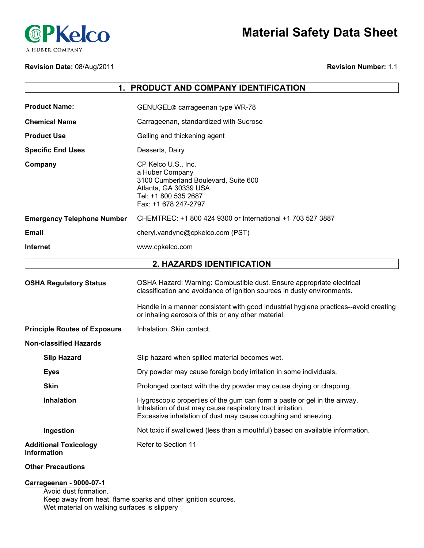

# **Material Safety Data Sheet**

#### **Revision Date:** 08/Aug/2011

#### **Revision Number:** 1.1

| PRODUCT AND COMPANY IDENTIFICATION<br>1.           |                                                                                                                                                                                                                                                                                                 |  |
|----------------------------------------------------|-------------------------------------------------------------------------------------------------------------------------------------------------------------------------------------------------------------------------------------------------------------------------------------------------|--|
| <b>Product Name:</b>                               | GENUGEL <sup>®</sup> carrageenan type WR-78                                                                                                                                                                                                                                                     |  |
| <b>Chemical Name</b>                               | Carrageenan, standardized with Sucrose                                                                                                                                                                                                                                                          |  |
|                                                    |                                                                                                                                                                                                                                                                                                 |  |
| <b>Product Use</b>                                 | Gelling and thickening agent                                                                                                                                                                                                                                                                    |  |
| <b>Specific End Uses</b>                           | Desserts, Dairy                                                                                                                                                                                                                                                                                 |  |
| Company                                            | CP Kelco U.S., Inc.<br>a Huber Company<br>3100 Cumberland Boulevard, Suite 600<br>Atlanta, GA 30339 USA<br>Tel: +1 800 535 2687<br>Fax: +1 678 247-2797                                                                                                                                         |  |
| <b>Emergency Telephone Number</b>                  | CHEMTREC: +1 800 424 9300 or International +1 703 527 3887                                                                                                                                                                                                                                      |  |
| <b>Email</b>                                       | cheryl.vandyne@cpkelco.com (PST)                                                                                                                                                                                                                                                                |  |
| <b>Internet</b>                                    | www.cpkelco.com                                                                                                                                                                                                                                                                                 |  |
|                                                    | 2. HAZARDS IDENTIFICATION                                                                                                                                                                                                                                                                       |  |
| <b>OSHA Regulatory Status</b>                      | OSHA Hazard: Warning: Combustible dust. Ensure appropriate electrical<br>classification and avoidance of ignition sources in dusty environments.<br>Handle in a manner consistent with good industrial hygiene practices--avoid creating<br>or inhaling aerosols of this or any other material. |  |
| <b>Principle Routes of Exposure</b>                | Inhalation. Skin contact.                                                                                                                                                                                                                                                                       |  |
| <b>Non-classified Hazards</b>                      |                                                                                                                                                                                                                                                                                                 |  |
| <b>Slip Hazard</b>                                 | Slip hazard when spilled material becomes wet.                                                                                                                                                                                                                                                  |  |
| <b>Eyes</b>                                        | Dry powder may cause foreign body irritation in some individuals.                                                                                                                                                                                                                               |  |
| <b>Skin</b>                                        | Prolonged contact with the dry powder may cause drying or chapping.                                                                                                                                                                                                                             |  |
| <b>Inhalation</b>                                  | Hygroscopic properties of the gum can form a paste or gel in the airway.<br>Inhalation of dust may cause respiratory tract irritation.<br>Excessive inhalation of dust may cause coughing and sneezing.                                                                                         |  |
| Ingestion                                          | Not toxic if swallowed (less than a mouthful) based on available information.                                                                                                                                                                                                                   |  |
| <b>Additional Toxicology</b><br><b>Information</b> | Refer to Section 11                                                                                                                                                                                                                                                                             |  |
|                                                    |                                                                                                                                                                                                                                                                                                 |  |

#### **Other Precautions**

## **Carrageenan - 9000-07-1**

Avoid dust formation. Keep away from heat, flame sparks and other ignition sources. Wet material on walking surfaces is slippery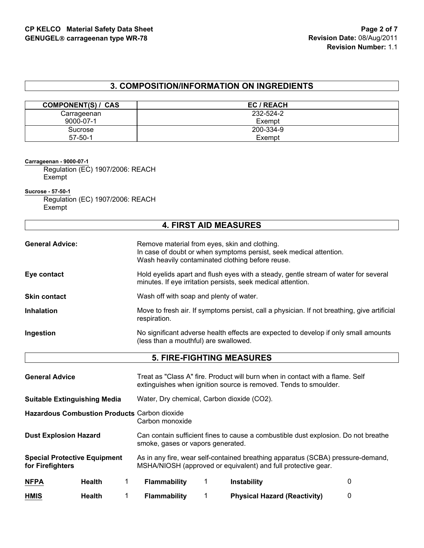## **3. COMPOSITION/INFORMATION ON INGREDIENTS**

| <b>COMPONENT(S) / CAS</b> | EC / REACH |
|---------------------------|------------|
| Carrageenan               | 232-524-2  |
| 9000-07-1                 | Exempt     |
| Sucrose                   | 200-334-9  |
| $57 - 50 - 1$             | Exempt     |

**Carrageenan - 9000-07-1**

Regulation (EC) 1907/2006: REACH Exempt

**Sucrose - 57-50-1**

Regulation (EC) 1907/2006: REACH Exempt

| <b>4. FIRST AID MEASURES</b> |                                                                                                                                                                         |  |
|------------------------------|-------------------------------------------------------------------------------------------------------------------------------------------------------------------------|--|
| <b>General Advice:</b>       | Remove material from eyes, skin and clothing.<br>In case of doubt or when symptoms persist, seek medical attention.<br>Wash heavily contaminated clothing before reuse. |  |
| Eye contact                  | Hold eyelids apart and flush eyes with a steady, gentle stream of water for several<br>minutes. If eye irritation persists, seek medical attention.                     |  |
| <b>Skin contact</b>          | Wash off with soap and plenty of water.                                                                                                                                 |  |
| <b>Inhalation</b>            | Move to fresh air. If symptoms persist, call a physician. If not breathing, give artificial<br>respiration.                                                             |  |
| Ingestion                    | No significant adverse health effects are expected to develop if only small amounts<br>(less than a mouthful) are swallowed.                                            |  |

| <b>General Advice</b>                                   |               |                                            | Treat as "Class A" fire. Product will burn when in contact with a flame. Self<br>extinguishes when ignition source is removed. Tends to smoulder. |   |
|---------------------------------------------------------|---------------|--------------------------------------------|---------------------------------------------------------------------------------------------------------------------------------------------------|---|
| <b>Suitable Extinguishing Media</b>                     |               | Water, Dry chemical, Carbon dioxide (CO2). |                                                                                                                                                   |   |
| Hazardous Combustion Products Carbon dioxide            |               | Carbon monoxide                            |                                                                                                                                                   |   |
| <b>Dust Explosion Hazard</b>                            |               | smoke, gases or vapors generated.          | Can contain sufficient fines to cause a combustible dust explosion. Do not breathe                                                                |   |
| <b>Special Protective Equipment</b><br>for Firefighters |               |                                            | As in any fire, wear self-contained breathing apparatus (SCBA) pressure-demand,<br>MSHA/NIOSH (approved or equivalent) and full protective gear.  |   |
| <b>NFPA</b>                                             | <b>Health</b> | <b>Flammability</b>                        | <b>Instability</b>                                                                                                                                | 0 |
| <b>HMIS</b>                                             | <b>Health</b> | <b>Flammability</b>                        | <b>Physical Hazard (Reactivity)</b>                                                                                                               | 0 |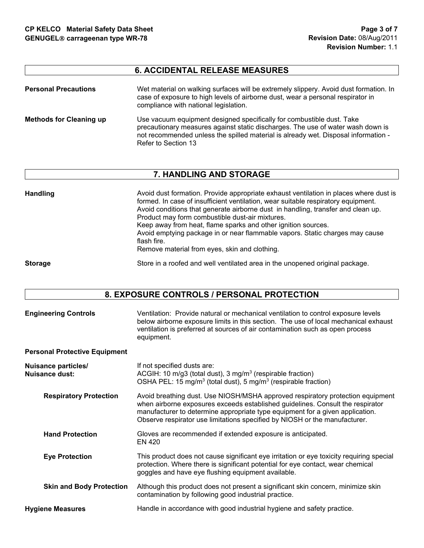## **6. ACCIDENTAL RELEASE MEASURES**

| <b>Personal Precautions</b>    | Wet material on walking surfaces will be extremely slippery. Avoid dust formation. In<br>case of exposure to high levels of airborne dust, wear a personal respirator in<br>compliance with national legislation.                                                     |
|--------------------------------|-----------------------------------------------------------------------------------------------------------------------------------------------------------------------------------------------------------------------------------------------------------------------|
| <b>Methods for Cleaning up</b> | Use vacuum equipment designed specifically for combustible dust. Take<br>precautionary measures against static discharges. The use of water wash down is<br>not recommended unless the spilled material is already wet. Disposal information -<br>Refer to Section 13 |

## **7. HANDLING AND STORAGE**

| Handling       | Avoid dust formation. Provide appropriate exhaust ventilation in places where dust is<br>formed. In case of insufficient ventilation, wear suitable respiratory equipment.<br>Avoid conditions that generate airborne dust in handling, transfer and clean up.<br>Product may form combustible dust-air mixtures.<br>Keep away from heat, flame sparks and other ignition sources.<br>Avoid emptying package in or near flammable vapors. Static charges may cause<br>flash fire.<br>Remove material from eyes, skin and clothing. |
|----------------|------------------------------------------------------------------------------------------------------------------------------------------------------------------------------------------------------------------------------------------------------------------------------------------------------------------------------------------------------------------------------------------------------------------------------------------------------------------------------------------------------------------------------------|
| <b>Storage</b> | Store in a roofed and well ventilated area in the unopened original package.                                                                                                                                                                                                                                                                                                                                                                                                                                                       |

## **8. EXPOSURE CONTROLS / PERSONAL PROTECTION**

| <b>Engineering Controls</b>                  | Ventilation: Provide natural or mechanical ventilation to control exposure levels<br>below airborne exposure limits in this section. The use of local mechanical exhaust<br>ventilation is preferred at sources of air contamination such as open process<br>equipment.                                                         |
|----------------------------------------------|---------------------------------------------------------------------------------------------------------------------------------------------------------------------------------------------------------------------------------------------------------------------------------------------------------------------------------|
| <b>Personal Protective Equipment</b>         |                                                                                                                                                                                                                                                                                                                                 |
| <b>Nuisance particles/</b><br>Nuisance dust: | If not specified dusts are:<br>ACGIH: 10 m/g3 (total dust), $3 \text{ mg/m}^3$ (respirable fraction)<br>OSHA PEL: 15 mg/m <sup>3</sup> (total dust), 5 mg/m <sup>3</sup> (respirable fraction)                                                                                                                                  |
| <b>Respiratory Protection</b>                | Avoid breathing dust. Use NIOSH/MSHA approved respiratory protection equipment<br>when airborne exposures exceeds established guidelines. Consult the respirator<br>manufacturer to determine appropriate type equipment for a given application.<br>Observe respirator use limitations specified by NIOSH or the manufacturer. |
| <b>Hand Protection</b>                       | Gloves are recommended if extended exposure is anticipated.<br>EN 420                                                                                                                                                                                                                                                           |
| <b>Eye Protection</b>                        | This product does not cause significant eye irritation or eye toxicity requiring special<br>protection. Where there is significant potential for eye contact, wear chemical<br>goggles and have eye flushing equipment available.                                                                                               |
| <b>Skin and Body Protection</b>              | Although this product does not present a significant skin concern, minimize skin<br>contamination by following good industrial practice.                                                                                                                                                                                        |
| <b>Hygiene Measures</b>                      | Handle in accordance with good industrial hygiene and safety practice.                                                                                                                                                                                                                                                          |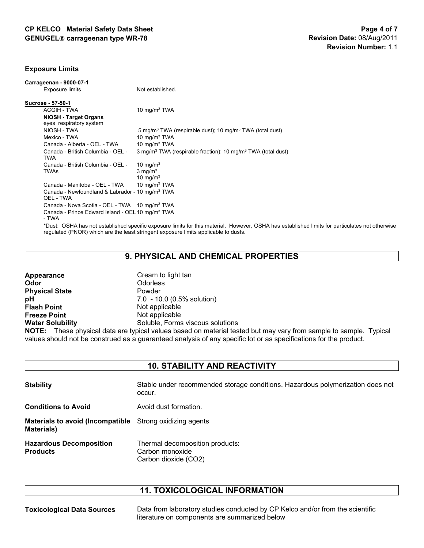#### **Exposure Limits**

| Carrageenan - 9000-07-1                                                  |                                                                                                                                                                                                                                        |
|--------------------------------------------------------------------------|----------------------------------------------------------------------------------------------------------------------------------------------------------------------------------------------------------------------------------------|
| Exposure limits                                                          | Not established.                                                                                                                                                                                                                       |
| Sucrose - 57-50-1                                                        |                                                                                                                                                                                                                                        |
| <b>ACGIH - TWA</b>                                                       | 10 mg/m $3$ TWA                                                                                                                                                                                                                        |
| <b>NIOSH - Target Organs</b><br>eyes respiratory system                  |                                                                                                                                                                                                                                        |
| NIOSH - TWA                                                              | 5 mg/m <sup>3</sup> TWA (respirable dust); 10 mg/m <sup>3</sup> TWA (total dust)                                                                                                                                                       |
| Mexico - TWA                                                             | 10 mg/m $3$ TWA                                                                                                                                                                                                                        |
| Canada - Alberta - OEL - TWA                                             | 10 mg/m $3$ TWA                                                                                                                                                                                                                        |
| Canada - British Columbia - OEL -<br><b>TWA</b>                          | 3 mg/m <sup>3</sup> TWA (respirable fraction); 10 mg/m <sup>3</sup> TWA (total dust)                                                                                                                                                   |
| Canada - British Columbia - OEL -                                        | 10 mg/m $3$                                                                                                                                                                                                                            |
| <b>TWAs</b>                                                              | $3 \text{ mg/m}^3$                                                                                                                                                                                                                     |
|                                                                          | 10 mg/m $3$                                                                                                                                                                                                                            |
| Canada - Manitoba - OEL - TWA                                            | 10 mg/m $3$ TWA                                                                                                                                                                                                                        |
| Canada - Newfoundland & Labrador - 10 mg/m <sup>3</sup> TWA<br>OEL - TWA |                                                                                                                                                                                                                                        |
| Canada - Nova Scotia - OEL - TWA 10 mg/m <sup>3</sup> TWA                |                                                                                                                                                                                                                                        |
| Canada - Prince Edward Island - OEL 10 mg/m <sup>3</sup> TWA<br>- TWA    |                                                                                                                                                                                                                                        |
|                                                                          | *Dust: OSHA has not established specific exposure limits for this material. However, OSHA has established limits for particulates not otherwise<br>requiated (PNOR) which are the least stringent exposure limits applicable to dusts. |

## **9. PHYSICAL AND CHEMICAL PROPERTIES**

| Appearance              | Cream to light tan                                                         |
|-------------------------|----------------------------------------------------------------------------|
| Odor                    | <b>Odorless</b>                                                            |
| <b>Physical State</b>   | Powder                                                                     |
| рH                      | 7.0 - 10.0 (0.5% solution)                                                 |
| <b>Flash Point</b>      | Not applicable                                                             |
| <b>Freeze Point</b>     | Not applicable                                                             |
| <b>Water Solubility</b> | Soluble, Forms viscous solutions                                           |
|                         | <b>NOTE:</b> These physical data are typical values based on material test |

**NOTE:** These physical data are typical values based on material tested but may vary from sample to sample. Typical values should not be construed as a guaranteed analysis of any specific lot or as specifications for the product.

## **10. STABILITY AND REACTIVITY**

| <b>Stability</b>                                       | Stable under recommended storage conditions. Hazardous polymerization does not<br>occur. |
|--------------------------------------------------------|------------------------------------------------------------------------------------------|
| <b>Conditions to Avoid</b>                             | Avoid dust formation.                                                                    |
| <b>Materials to avoid (Incompatible)</b><br>Materials) | Strong oxidizing agents                                                                  |
| <b>Hazardous Decomposition</b><br><b>Products</b>      | Thermal decomposition products:<br>Carbon monoxide<br>Carbon dioxide (CO2)               |

## **11. TOXICOLOGICAL INFORMATION**

**Toxicological Data Sources** Data from laboratory studies conducted by CP Kelco and/or from the scientific literature on components are summarized below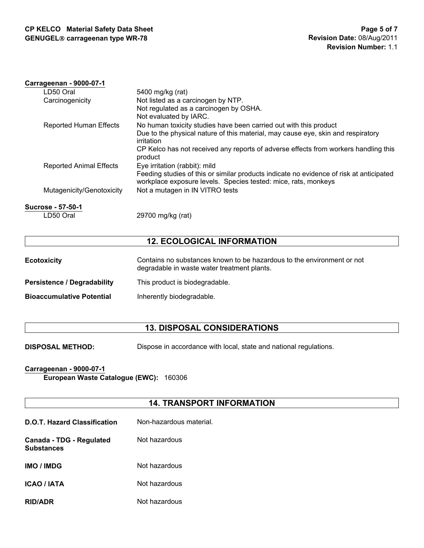#### **Carrageenan - 9000-07-1**

| LD50 Oral                      | 5400 mg/kg (rat)                                                                                                                                          |
|--------------------------------|-----------------------------------------------------------------------------------------------------------------------------------------------------------|
| Carcinogenicity                | Not listed as a carcinogen by NTP.                                                                                                                        |
|                                | Not regulated as a carcinogen by OSHA.                                                                                                                    |
|                                | Not evaluated by IARC.                                                                                                                                    |
| <b>Reported Human Effects</b>  | No human toxicity studies have been carried out with this product                                                                                         |
|                                | Due to the physical nature of this material, may cause eye, skin and respiratory                                                                          |
|                                | irritation                                                                                                                                                |
|                                | CP Kelco has not received any reports of adverse effects from workers handling this<br>product                                                            |
| <b>Reported Animal Effects</b> | Eye irritation (rabbit): mild                                                                                                                             |
|                                | Feeding studies of this or similar products indicate no evidence of risk at anticipated<br>workplace exposure levels. Species tested: mice, rats, monkeys |
| Mutagenicity/Genotoxicity      | Not a mutagen in IN VITRO tests                                                                                                                           |
|                                |                                                                                                                                                           |

**Sucrose - 57-50-1**

LD50 Oral 29700 mg/kg (rat)

## **12. ECOLOGICAL INFORMATION**

| <b>Ecotoxicity</b>                 | Contains no substances known to be hazardous to the environment or not<br>degradable in waste water treatment plants. |
|------------------------------------|-----------------------------------------------------------------------------------------------------------------------|
| <b>Persistence / Degradability</b> | This product is biodegradable.                                                                                        |
| <b>Bioaccumulative Potential</b>   | Inherently biodegradable.                                                                                             |

## **13. DISPOSAL CONSIDERATIONS**

**DISPOSAL METHOD:** Dispose in accordance with local, state and national regulations.

## **Carrageenan - 9000-07-1**

**European Waste Catalogue (EWC):** 160306

## **14. TRANSPORT INFORMATION**

| <b>D.O.T. Hazard Classification</b>           | Non-hazardous material. |
|-----------------------------------------------|-------------------------|
| Canada - TDG - Regulated<br><b>Substances</b> | Not hazardous           |
| <b>IMO / IMDG</b>                             | Not hazardous           |
| <b>ICAO / IATA</b>                            | Not hazardous           |
| <b>RID/ADR</b>                                | Not hazardous           |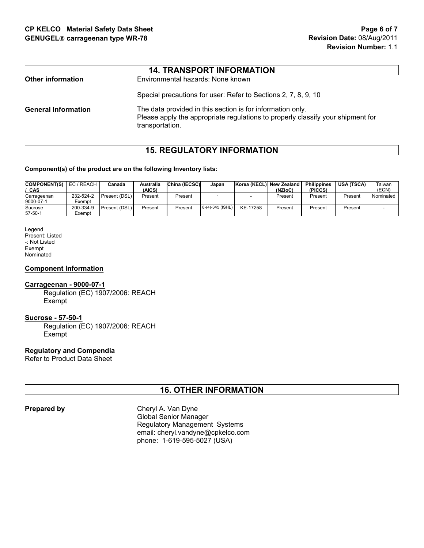|                            | <b>14. TRANSPORT INFORMATION</b>                                                                                                                                 |
|----------------------------|------------------------------------------------------------------------------------------------------------------------------------------------------------------|
| <b>Other information</b>   | Environmental hazards: None known                                                                                                                                |
|                            | Special precautions for user: Refer to Sections 2, 7, 8, 9, 10                                                                                                   |
| <b>General Information</b> | The data provided in this section is for information only.<br>Please apply the appropriate regulations to properly classify your shipment for<br>transportation. |

## **15. REGULATORY INFORMATION**

#### **Component(s) of the product are on the following Inventory lists:**

| <b>COMPONENT(S)</b><br>' CAS | EC / REACH          | Canada        | Australia<br>(AICS) | China (IECSC) | Japan            | Korea (KECL) New Zealand | (NZIoC) | <b>Philippines</b><br>(PICCS) | <b>USA (TSCA)</b> | Гаіwan<br>(ECN) |
|------------------------------|---------------------|---------------|---------------------|---------------|------------------|--------------------------|---------|-------------------------------|-------------------|-----------------|
| Carrageenan<br>9000-07-1     | 232-524-2<br>Exempt | Present (DSL) | Present             | Present       |                  |                          | Present | Present                       | Present           | Nominated       |
| Sucrose<br>57-50-1           | 200-334-9<br>Exempt | Present (DSL) | Present             | Present       | 8-(4)-345 (ISHL) | KE-17258                 | Present | Present                       | Present           |                 |

Legend Present: Listed -: Not Listed Exempt Nominated

#### **Component Information**

#### **Carrageenan - 9000-07-1**

Regulation (EC) 1907/2006: REACH Exempt

#### **Sucrose - 57-50-1**

Regulation (EC) 1907/2006: REACH Exempt

## **Regulatory and Compendia**

Refer to Product Data Sheet

## **16. OTHER INFORMATION**

**Prepared by** Cheryl A. Van Dyne Global Senior Manager Regulatory Management Systems email: cheryl.vandyne@cpkelco.com phone: 1-619-595-5027 (USA)